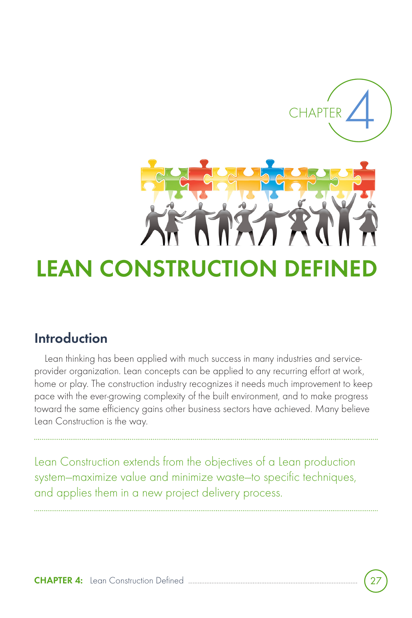

# **LEAN CONSTRUCTION**

# **Introduction**

Lean thinking has been applied with much success in many industries and serviceprovider organization. Lean concepts can be applied to any recurring effort at work, home or play. The construction industry recognizes it needs much improvement to keep pace with the ever-growing complexity of the built environment, and to make progress toward the same efficiency gains other business sectors have achieved. Many believe Lean Construction is the way.

Lean Construction extends from the objectives of a Lean production system—maximize value and minimize waste—to specific techniques, and applies them in a new project delivery process.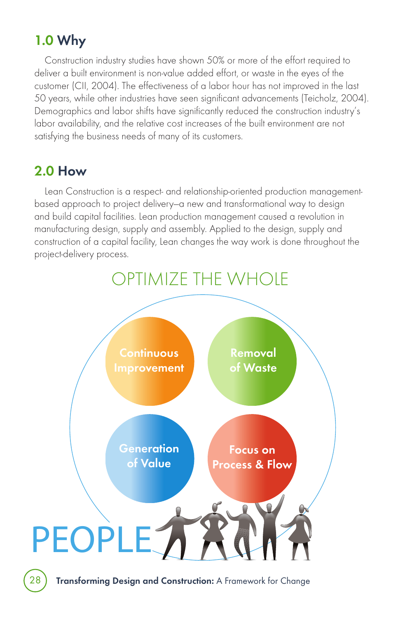# **1.0 Why**

Construction industry studies have shown 50% or more of the effort required to deliver a built environment is non-value added effort, or waste in the eyes of the customer (CII, 2004). The effectiveness of a labor hour has not improved in the last 50 years, while other industries have seen significant advancements (Teicholz, 2004). Demographics and labor shifts have significantly reduced the construction industry's labor availability, and the relative cost increases of the built environment are not satisfying the business needs of many of its customers.

## **2.0 How**

Lean Construction is a respect- and relationship-oriented production managementbased approach to project delivery—a new and transformational way to design and build capital facilities. Lean production management caused a revolution in manufacturing design, supply and assembly. Applied to the design, supply and construction of a capital facility, Lean changes the way work is done throughout the project-delivery process.



28 **Transforming Design and Construction:** A Framework for Change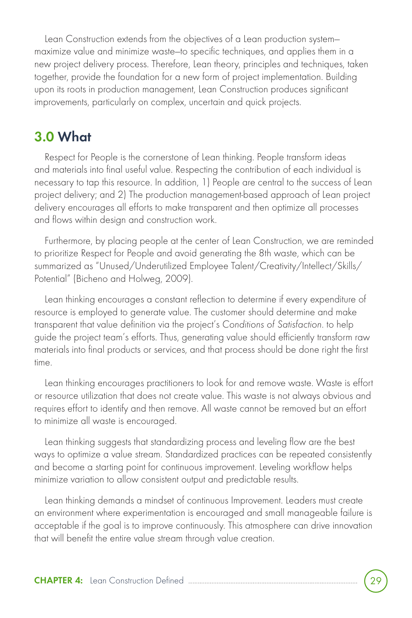Lean Construction extends from the objectives of a Lean production system maximize value and minimize waste—to specific techniques, and applies them in a new project delivery process. Therefore, Lean theory, principles and techniques, taken together, provide the foundation for a new form of project implementation. Building upon its roots in production management, Lean Construction produces significant improvements, particularly on complex, uncertain and quick projects.

### **3.0 What**

Respect for People is the cornerstone of Lean thinking. People transform ideas and materials into final useful value. Respecting the contribution of each individual is necessary to tap this resource. In addition, 1) People are central to the success of Lean project delivery; and 2) The production management-based approach of Lean project delivery encourages all efforts to make transparent and then optimize all processes and flows within design and construction work.

Furthermore, by placing people at the center of Lean Construction, we are reminded to prioritize Respect for People and avoid generating the 8th waste, which can be summarized as "Unused/Underutilized Employee Talent/Creativity/Intellect/Skills/ Potential" (Bicheno and Holweg, 2009).

Lean thinking encourages a constant reflection to determine if every expenditure of resource is employed to generate value. The customer should determine and make transparent that value definition via the project's Conditions of Satisfaction. to help guide the project team's efforts. Thus, generating value should efficiently transform raw materials into final products or services, and that process should be done right the first time.

Lean thinking encourages practitioners to look for and remove waste. Waste is effort or resource utilization that does not create value. This waste is not always obvious and requires effort to identify and then remove. All waste cannot be removed but an effort to minimize all waste is encouraged.

Lean thinking suggests that standardizing process and leveling flow are the best ways to optimize a value stream. Standardized practices can be repeated consistently and become a starting point for continuous improvement. Leveling workflow helps minimize variation to allow consistent output and predictable results.

Lean thinking demands a mindset of continuous Improvement. Leaders must create an environment where experimentation is encouraged and small manageable failure is acceptable if the goal is to improve continuously. This atmosphere can drive innovation that will benefit the entire value stream through value creation.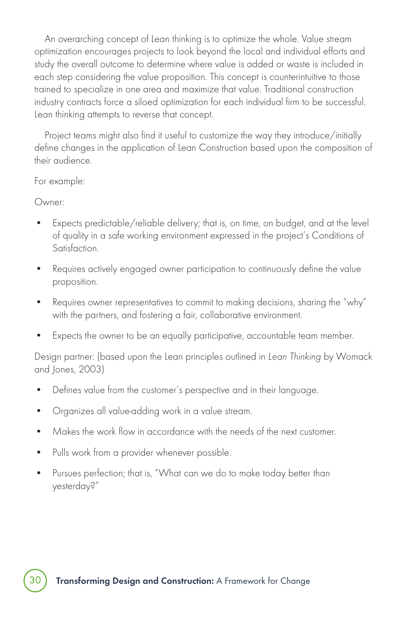An overarching concept of Lean thinking is to optimize the whole. Value stream optimization encourages projects to look beyond the local and individual efforts and study the overall outcome to determine where value is added or waste is included in each step considering the value proposition. This concept is counterintuitive to those trained to specialize in one area and maximize that value. Traditional construction industry contracts force a siloed optimization for each individual firm to be successful. Lean thinking attempts to reverse that concept.

Project teams might also find it useful to customize the way they introduce/initially define changes in the application of Lean Construction based upon the composition of their audience.

For example:

Owner:

- Expects predictable/reliable delivery; that is, on time, on budget, and at the level of quality in a safe working environment expressed in the project's Conditions of Satisfaction.
- Requires actively engaged owner participation to continuously define the value proposition.
- Requires owner representatives to commit to making decisions, sharing the "why" with the partners, and fostering a fair, collaborative environment.
- Expects the owner to be an equally participative, accountable team member.

Design partner: (based upon the Lean principles outlined in Lean Thinking by Womack and Jones, 2003)

- Defines value from the customer's perspective and in their language.
- Organizes all value-adding work in a value stream.
- Makes the work flow in accordance with the needs of the next customer.
- Pulls work from a provider whenever possible.
- Pursues perfection; that is, "What can we do to make today better than yesterday?"